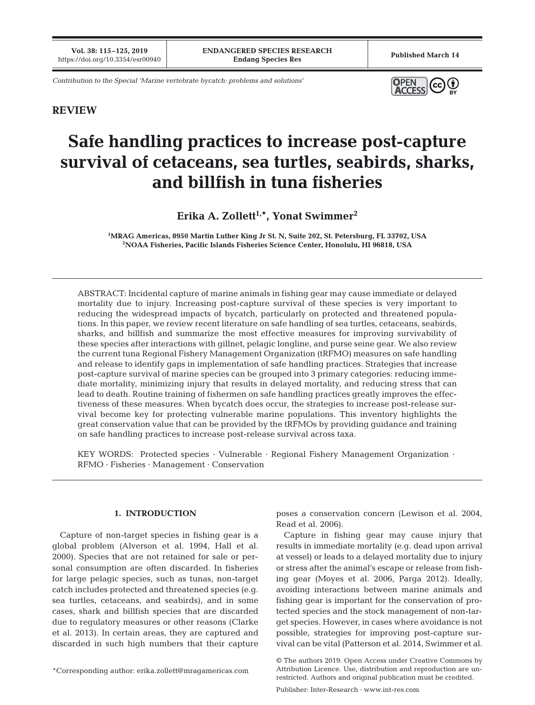**Vol. 38: 115–125, 2019**

*Contribution to the Special 'Marine vertebrate bycatch: problems and solutions'*



# **REVIEW**

# **Safe handling practices to increase post-capture survival of cetaceans, sea turtles, seabirds, sharks, and billfish in tuna fisheries**

Erika A. Zollett<sup>1,\*</sup>, Yonat Swimmer<sup>2</sup>

**1 MRAG Americas, 8950 Martin Luther King Jr St. N, Suite 202, St. Petersburg, FL 33702, USA 2 NOAA Fisheries, Pacific Islands Fisheries Science Center, Honolulu, HI 96818, USA**

ABSTRACT: Incidental capture of marine animals in fishing gear may cause immediate or delayed mortality due to injury. Increasing post-capture survival of these species is very important to reducing the widespread impacts of bycatch, particularly on protected and threatened populations. In this paper, we review recent literature on safe handling of sea turtles, cetaceans, seabirds, sharks, and billfish and summarize the most effective measures for improving survivability of these species after interactions with gillnet, pelagic longline, and purse seine gear. We also review the current tuna Regional Fishery Management Organization (tRFMO) measures on safe handling and release to identify gaps in implementation of safe handling practices. Strategies that increase post-capture survival of marine species can be grouped into 3 primary categories: reducing immediate mortality, minimizing injury that results in delayed mortality, and reducing stress that can lead to death. Routine training of fishermen on safe handling practices greatly improves the effectiveness of these measures. When bycatch does occur, the strategies to increase post-release survival become key for protecting vulnerable marine populations. This inventory highlights the great conservation value that can be provided by the tRFMOs by providing guidance and training on safe handling practices to increase post-release survival across taxa.

KEY WORDS: Protected species · Vulnerable · Regional Fishery Management Organization · RFMO · Fisheries · Management · Conservation

# **1. INTRODUCTION**

Capture of non-target species in fishing gear is a global problem (Alverson et al. 1994, Hall et al. 2000). Species that are not retained for sale or personal consumption are often discarded. In fisheries for large pelagic species, such as tunas, non-target catch includes protected and threatened species (e.g. sea turtles, cetaceans, and seabirds), and in some cases, shark and billfish species that are discarded due to regulatory measures or other reasons (Clarke et al. 2013). In certain areas, they are captured and discarded in such high numbers that their capture

\*Corresponding author: erika.zollett@mragamericas.com

poses a conservation concern (Lewison et al. 2004, Read et al. 2006).

Capture in fishing gear may cause injury that results in immediate mortality (e.g. dead upon arrival at vessel) or leads to a delayed mortality due to injury or stress after the animal's escape or release from fishing gear (Moyes et al. 2006, Parga 2012). Ideally, avoiding interactions between marine animals and fishing gear is important for the conservation of protected species and the stock management of non-target species. However, in cases where avoidance is not possible, strategies for improving post-capture survival can be vital (Patterson et al. 2014, Swimmer et al.

<sup>©</sup> The authors 2019. Open Access under Creative Commons by Attribution Licence. Use, distribution and reproduction are unrestricted. Authors and original publication must be credited.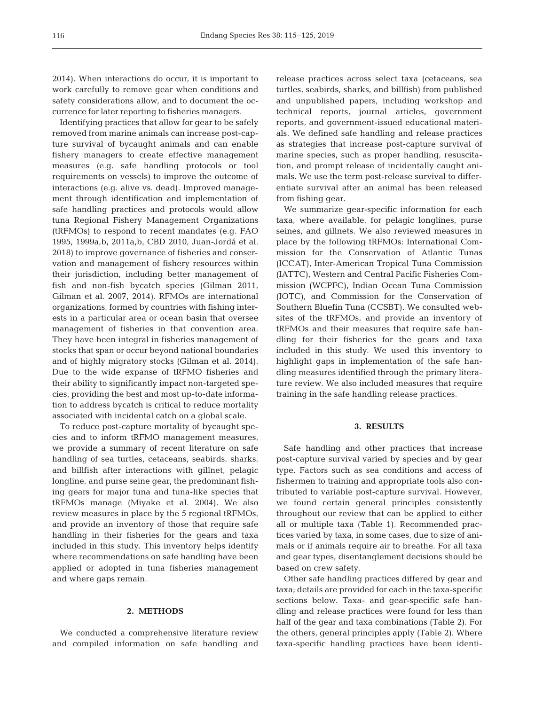2014). When interactions do occur, it is important to work carefully to remove gear when conditions and safety considerations allow, and to document the occurrence for later reporting to fisheries managers.

Identifying practices that allow for gear to be safely removed from marine animals can increase post-capture survival of bycaught animals and can enable fishery managers to create effective management measures (e.g. safe handling protocols or tool requirements on vessels) to improve the outcome of interactions (e.g. alive vs. dead). Improved management through identification and implementation of safe handling practices and protocols would allow tuna Regional Fishery Management Organizations (tRFMOs) to respond to recent mandates (e.g. FAO 1995, 1999a,b, 2011a,b, CBD 2010, Juan-Jordá et al. 2018) to improve governance of fisheries and conservation and management of fishery resources within their jurisdiction, including better management of fish and non-fish bycatch species (Gilman 2011, Gilman et al. 2007, 2014). RFMOs are international organizations, formed by countries with fishing interests in a particular area or ocean basin that oversee management of fisheries in that convention area. They have been integral in fisheries management of stocks that span or occur beyond national boundaries and of highly migratory stocks (Gilman et al. 2014). Due to the wide expanse of tRFMO fisheries and their ability to significantly impact non-targeted species, providing the best and most up-to-date information to address bycatch is critical to reduce mortality associated with incidental catch on a global scale.

To reduce post-capture mortality of bycaught species and to inform tRFMO management measures, we provide a summary of recent literature on safe handling of sea turtles, cetaceans, seabirds, sharks, and billfish after interactions with gillnet, pelagic longline, and purse seine gear, the predominant fishing gears for major tuna and tuna-like species that tRFMOs manage (Miyake et al. 2004). We also review measures in place by the 5 regional tRFMOs, and provide an inventory of those that require safe handling in their fisheries for the gears and taxa included in this study. This inventory helps identify where recommendations on safe handling have been applied or adopted in tuna fisheries management and where gaps remain.

#### **2. METHODS**

We conducted a comprehensive literature review and compiled information on safe handling and release practices across select taxa (cetaceans, sea turtles, seabirds, sharks, and billfish) from published and unpublished papers, including workshop and technical reports, journal articles, government reports, and government-issued educational materials. We defined safe handling and release practices as strategies that increase post-capture survival of marine species, such as proper handling, resuscitation, and prompt release of incidentally caught animals. We use the term post-release survival to differentiate survival after an animal has been released from fishing gear.

We summarize gear-specific information for each taxa, where available, for pelagic longlines, purse seines, and gillnets. We also reviewed measures in place by the following tRFMOs: International Commission for the Conservation of Atlantic Tunas (ICCAT), Inter-American Tropical Tuna Commission (IATTC), Western and Central Pacific Fisheries Commission (WCPFC), Indian Ocean Tuna Commission (IOTC), and Commission for the Conservation of Southern Bluefin Tuna (CCSBT). We consulted websites of the tRFMOs, and provide an inventory of tRFMOs and their measures that require safe handling for their fisheries for the gears and taxa included in this study. We used this inventory to highlight gaps in implementation of the safe handling measures identified through the primary literature review. We also included measures that require training in the safe handling release practices.

## **3. RESULTS**

Safe handling and other practices that increase post-capture survival varied by species and by gear type. Factors such as sea conditions and access of fishermen to training and appropriate tools also contributed to variable post-capture survival. However, we found certain general principles consistently throughout our review that can be applied to either all or multiple taxa (Table 1). Recommended practices varied by taxa, in some cases, due to size of animals or if animals require air to breathe. For all taxa and gear types, disentanglement decisions should be based on crew safety.

Other safe handling practices differed by gear and taxa; details are provided for each in the taxa-specific sections below. Taxa- and gear-specific safe handling and release practices were found for less than half of the gear and taxa combinations (Table 2). For the others, general principles apply (Table 2). Where taxa-specific handling practices have been identi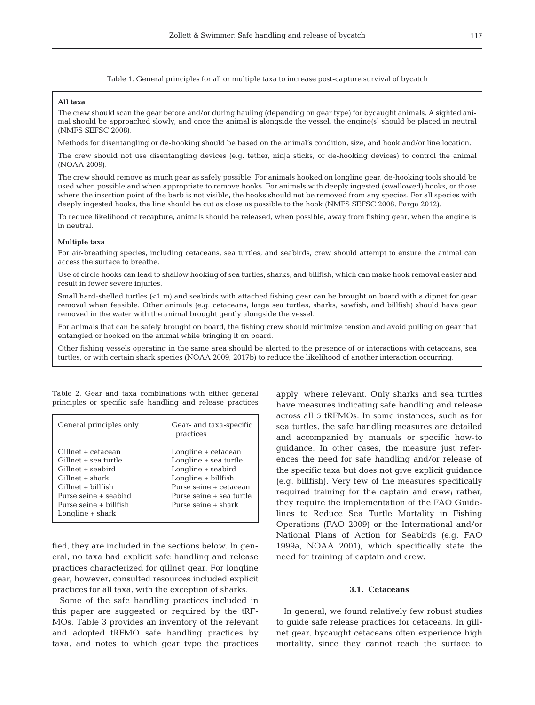Table 1. General principles for all or multiple taxa to increase post-capture survival of bycatch

## **All taxa**

The crew should scan the gear before and/or during hauling (depending on gear type) for bycaught animals. A sighted animal should be approached slowly, and once the animal is alongside the vessel, the engine(s) should be placed in neutral (NMFS SEFSC 2008).

Methods for disentangling or de-hooking should be based on the animal's condition, size, and hook and/or line location.

The crew should not use disentangling devices (e.g. tether, ninja sticks, or de-hooking devices) to control the animal (NOAA 2009).

The crew should remove as much gear as safely possible. For animals hooked on longline gear, de-hooking tools should be used when possible and when appropriate to remove hooks. For animals with deeply ingested (swallowed) hooks, or those where the insertion point of the barb is not visible, the hooks should not be removed from any species. For all species with deeply ingested hooks, the line should be cut as close as possible to the hook (NMFS SEFSC 2008, Parga 2012).

To reduce likelihood of recapture, animals should be released, when possible, away from fishing gear, when the engine is in neutral.

## **Multiple taxa**

For air-breathing species, including cetaceans, sea turtles, and seabirds, crew should attempt to ensure the animal can access the surface to breathe.

Use of circle hooks can lead to shallow hooking of sea turtles, sharks, and billfish, which can make hook removal easier and result in fewer severe injuries.

Small hard-shelled turtles (<1 m) and seabirds with attached fishing gear can be brought on board with a dipnet for gear removal when feasible. Other animals (e.g. cetaceans, large sea turtles, sharks, sawfish, and billfish) should have gear removed in the water with the animal brought gently alongside the vessel.

For animals that can be safely brought on board, the fishing crew should minimize tension and avoid pulling on gear that entangled or hooked on the animal while bringing it on board.

Other fishing vessels operating in the same area should be alerted to the presence of or interactions with cetaceans, sea turtles, or with certain shark species (NOAA 2009, 2017b) to reduce the likelihood of another interaction occurring.

General principles only Gear- and taxa-specific practices Gillnet + cetacean Longline + cetacean Gillnet + sea turtle Longline + sea turtle Gillnet + seabird Longline + seabird Gillnet + shark Longline + billfish Gillnet + billfish Purse seine + cetacean Purse seine + seabird Purse seine + sea turtle Purse seine + billfish Purse seine + shark Longline + shark

Table 2. Gear and taxa combinations with either general principles or specific safe handling and release practices

fied, they are included in the sections below. In general, no taxa had explicit safe handling and release practices characterized for gillnet gear. For longline gear, however, consulted resources included explicit practices for all taxa, with the exception of sharks.

Some of the safe handling practices included in this paper are suggested or required by the tRF-MOs. Table 3 provides an inventory of the relevant and adopted tRFMO safe handling practices by taxa, and notes to which gear type the practices

apply, where relevant. Only sharks and sea turtles have measures indicating safe handling and release across all 5 tRFMOs. In some instances, such as for sea turtles, the safe handling measures are detailed and accompanied by manuals or specific how-to guidance. In other cases, the measure just references the need for safe handling and/or release of the specific taxa but does not give explicit guidance (e.g. billfish). Very few of the measures specifically required training for the captain and crew; rather, they require the implementation of the FAO Guidelines to Reduce Sea Turtle Mortality in Fishing Operations (FAO 2009) or the International and/or National Plans of Action for Seabirds (e.g. FAO 1999a, NOAA 2001), which specifically state the need for training of captain and crew.

## **3.1. Cetaceans**

In general, we found relatively few robust studies to guide safe release practices for cetaceans. In gillnet gear, bycaught cetaceans often experience high mortality, since they cannot reach the surface to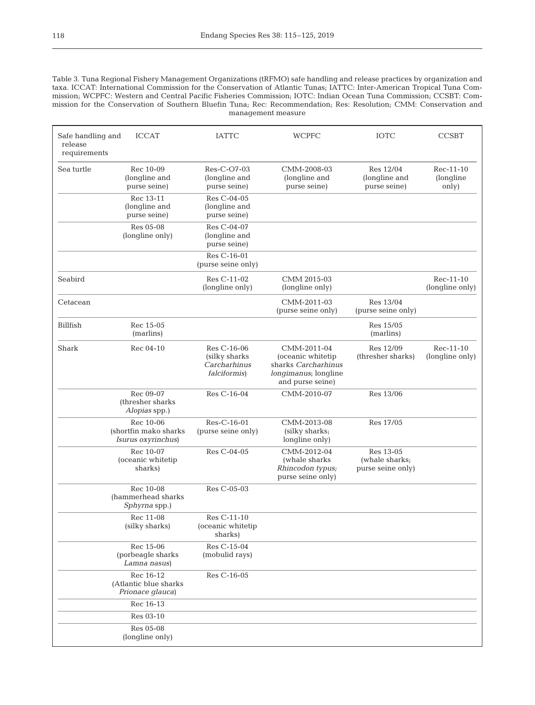Table 3. Tuna Regional Fishery Management Organizations (tRFMO) safe handling and release practices by organization and taxa. ICCAT: International Commission for the Conservation of Atlantic Tunas; IATTC: Inter-American Tropical Tuna Commission; WCPFC: Western and Central Pacific Fisheries Commission; IOTC: Indian Ocean Tuna Commission; CCSBT: Commission for the Conservation of Southern Bluefin Tuna; Rec: Recommendation; Res: Resolution; CMM: Conservation and management measure

| Safe handling and<br>release | <b>ICCAT</b>                                             | <b>IATTC</b>                                                          | <b>WCPFC</b>                                                                                        | <b>IOTC</b>                                      | <b>CCSBT</b>                     |
|------------------------------|----------------------------------------------------------|-----------------------------------------------------------------------|-----------------------------------------------------------------------------------------------------|--------------------------------------------------|----------------------------------|
| requirements                 |                                                          |                                                                       |                                                                                                     |                                                  |                                  |
| Sea turtle                   | Rec 10-09<br>(longline and<br>purse seine)               | Res-C-O7-03<br>(longline and<br>purse seine)                          | CMM-2008-03<br>(longline and<br>purse seine)                                                        | Res 12/04<br>(longline and<br>purse seine)       | Rec-11-10<br>(longline)<br>only) |
|                              | Rec 13-11<br>(longline and<br>purse seine)               | Res C-04-05<br>(longline and<br>purse seine)                          |                                                                                                     |                                                  |                                  |
|                              | Res 05-08<br>(longline only)                             | Res C-04-07<br>(longline and<br>purse seine)                          |                                                                                                     |                                                  |                                  |
|                              |                                                          | Res C-16-01<br>(purse seine only)                                     |                                                                                                     |                                                  |                                  |
| Seabird                      |                                                          | Res C-11-02<br>(longline only)                                        | CMM 2015-03<br>(longline only)                                                                      |                                                  | Rec-11-10<br>(longline only)     |
| Cetacean                     |                                                          |                                                                       | CMM-2011-03<br>(purse seine only)                                                                   | Res 13/04<br>(purse seine only)                  |                                  |
| Billfish                     | Rec 15-05<br>(marlins)                                   |                                                                       |                                                                                                     | Res 15/05<br>(marlins)                           |                                  |
| Shark                        | Rec 04-10                                                | Res C-16-06<br>(silky sharks)<br>Carcharhinus<br><i>falciformis</i> ) | CMM-2011-04<br>(oceanic whitetip<br>sharks Carcharhinus<br>longimanus; longline<br>and purse seine) | Res 12/09<br>(thresher sharks)                   | Rec-11-10<br>(longline only)     |
|                              | Rec 09-07<br>(thresher sharks)<br>Alopias spp.)          | Res C-16-04                                                           | CMM-2010-07                                                                                         | Res 13/06                                        |                                  |
|                              | Rec 10-06<br>(shortfin mako sharks<br>Isurus oxyrinchus) | Res-C-16-01<br>(purse seine only)                                     | CMM-2013-08<br>(silky sharks;<br>longline only)                                                     | Res 17/05                                        |                                  |
|                              | Rec 10-07<br>(oceanic whitetip<br>sharks)                | Res C-04-05                                                           | CMM-2012-04<br>(whale sharks<br>Rhincodon typus;<br>purse seine only)                               | Res 13-05<br>(whale sharks;<br>purse seine only) |                                  |
|                              | Rec 10-08<br>(hammerhead sharks<br>Sphyrna spp.)         | Res C-05-03                                                           |                                                                                                     |                                                  |                                  |
|                              | Rec 11-08<br>(silky sharks)                              | Res C-11-10<br>(oceanic whitetip<br>sharks)                           |                                                                                                     |                                                  |                                  |
|                              | Rec 15-06<br>(porbeagle sharks)<br>Lamna nasus)          | Res C-15-04<br>(mobulid rays)                                         |                                                                                                     |                                                  |                                  |
|                              | Rec 16-12<br>(Atlantic blue sharks<br>Prionace glauca)   | Res C-16-05                                                           |                                                                                                     |                                                  |                                  |
|                              | Rec 16-13                                                |                                                                       |                                                                                                     |                                                  |                                  |
|                              | Res 03-10                                                |                                                                       |                                                                                                     |                                                  |                                  |
|                              | Res 05-08<br>(longline only)                             |                                                                       |                                                                                                     |                                                  |                                  |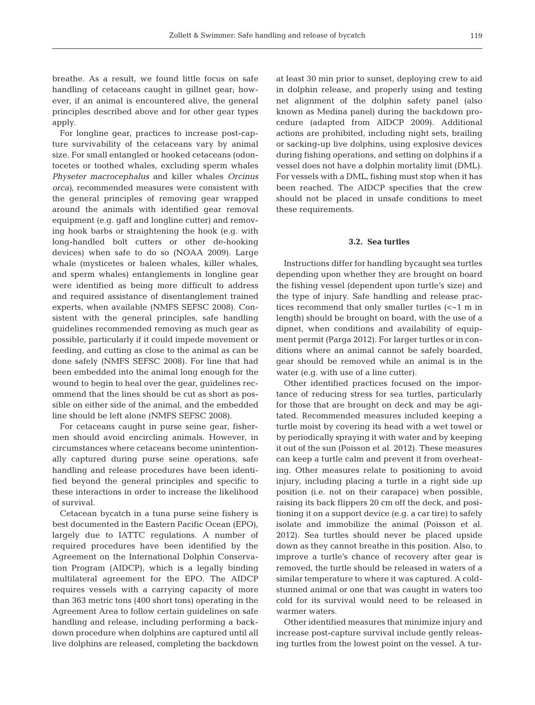breathe. As a result, we found little focus on safe handling of cetaceans caught in gillnet gear; however, if an animal is encountered alive, the general principles described above and for other gear types apply.

For longline gear, practices to increase post-capture survivability of the cetaceans vary by animal size. For small entangled or hooked cetaceans (odontocetes or toothed whales, excluding sperm whales *Physeter macrocephalus* and killer whales *Orcinus orca)*, recommended measures were consistent with the general principles of removing gear wrapped around the animals with identified gear removal equipment (e.g. gaff and longline cutter) and removing hook barbs or straightening the hook (e.g. with long-handled bolt cutters or other de-hooking devices) when safe to do so (NOAA 2009). Large whale (mysticetes or baleen whales, killer whales, and sperm whales) entanglements in longline gear were identified as being more difficult to address and required assistance of disentanglement trained experts, when available (NMFS SEFSC 2008). Consistent with the general principles, safe handling guidelines recommended removing as much gear as possible, particularly if it could impede movement or feeding, and cutting as close to the animal as can be done safely (NMFS SEFSC 2008). For line that had been embedded into the animal long enough for the wound to begin to heal over the gear, guidelines recommend that the lines should be cut as short as possible on either side of the animal, and the embedded line should be left alone (NMFS SEFSC 2008).

For cetaceans caught in purse seine gear, fishermen should avoid encircling animals. However, in circumstances where cetaceans become unintentionally captured during purse seine operations, safe handling and release procedures have been identified beyond the general principles and specific to these interactions in order to increase the likelihood of survival.

Cetacean bycatch in a tuna purse seine fishery is best documented in the Eastern Pacific Ocean (EPO), largely due to IATTC regulations. A number of required procedures have been identified by the Agreement on the International Dolphin Conservation Program (AIDCP), which is a legally binding multilateral agreement for the EPO. The AIDCP requires vessels with a carrying capacity of more than 363 metric tons (400 short tons) operating in the Agreement Area to follow certain guidelines on safe handling and release, including performing a backdown procedure when dolphins are captured until all live dolphins are released, completing the backdown

at least 30 min prior to sunset, deploying crew to aid in dolphin release, and properly using and testing net alignment of the dolphin safety panel (also known as Medina panel) during the backdown procedure (adapted from AIDCP 2009). Additional actions are prohibited, including night sets, brailing or sacking-up live dolphins, using explosive devices during fishing operations, and setting on dolphins if a vessel does not have a dolphin mortality limit (DML). For vessels with a DML, fishing must stop when it has been reached. The AIDCP specifies that the crew should not be placed in unsafe conditions to meet these requirements.

## **3.2. Sea turtles**

Instructions differ for handling bycaught sea turtles depending upon whether they are brought on board the fishing vessel (dependent upon turtle's size) and the type of injury. Safe handling and release practices recommend that only smaller turtles (<~1 m in length) should be brought on board, with the use of a dipnet, when conditions and availability of equipment permit (Parga 2012). For larger turtles or in conditions where an animal cannot be safely boarded, gear should be removed while an animal is in the water (e.g. with use of a line cutter).

Other identified practices focused on the importance of reducing stress for sea turtles, particularly for those that are brought on deck and may be agitated. Recommended measures included keeping a turtle moist by covering its head with a wet towel or by periodically spraying it with water and by keeping it out of the sun (Poisson et al. 2012). These measures can keep a turtle calm and prevent it from overheating. Other measures relate to positioning to avoid injury, including placing a turtle in a right side up position (i.e. not on their carapace) when possible, raising its back flippers 20 cm off the deck, and positioning it on a support device (e.g. a car tire) to safely isolate and immobilize the animal (Poisson et al. 2012). Sea turtles should never be placed upside down as they cannot breathe in this position. Also, to improve a turtle's chance of recovery after gear is removed, the turtle should be released in waters of a similar temperature to where it was captured. A coldstunned animal or one that was caught in waters too cold for its survival would need to be released in warmer waters.

Other identified measures that minimize injury and increase post-capture survival include gently releasing turtles from the lowest point on the vessel. A tur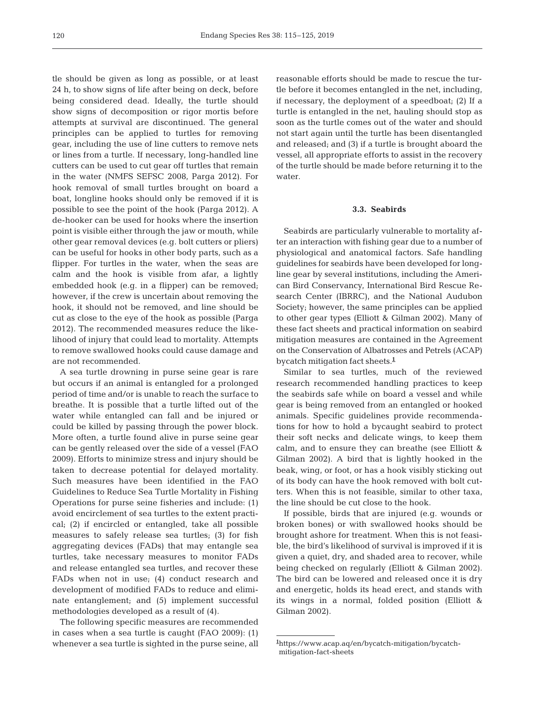tle should be given as long as possible, or at least 24 h, to show signs of life after being on deck, before being considered dead. Ideally, the turtle should show signs of decomposition or rigor mortis before attempts at survival are discontinued. The general principles can be applied to turtles for removing gear, including the use of line cutters to remove nets or lines from a turtle. If necessary, long-handled line cutters can be used to cut gear off turtles that remain in the water (NMFS SEFSC 2008, Parga 2012). For hook removal of small turtles brought on board a boat, longline hooks should only be removed if it is possible to see the point of the hook (Parga 2012). A de-hooker can be used for hooks where the insertion point is visible either through the jaw or mouth, while other gear removal devices (e.g. bolt cutters or pliers) can be useful for hooks in other body parts, such as a flipper. For turtles in the water, when the seas are calm and the hook is visible from afar, a lightly embedded hook (e.g. in a flipper) can be removed; however, if the crew is uncertain about removing the hook, it should not be removed, and line should be cut as close to the eye of the hook as possible (Parga 2012). The recommended measures reduce the likelihood of injury that could lead to mortality. Attempts to remove swallowed hooks could cause damage and are not recommended.

A sea turtle drowning in purse seine gear is rare but occurs if an animal is entangled for a prolonged period of time and/or is unable to reach the surface to breathe. It is possible that a turtle lifted out of the water while entangled can fall and be injured or could be killed by passing through the power block. More often, a turtle found alive in purse seine gear can be gently released over the side of a vessel (FAO 2009). Efforts to minimize stress and injury should be taken to decrease potential for delayed mortality. Such measures have been identified in the FAO Guidelines to Reduce Sea Turtle Mortality in Fishing Operations for purse seine fisheries and include: (1) avoid encirclement of sea turtles to the extent practical; (2) if encircled or entangled, take all possible measures to safely release sea turtles; (3) for fish aggregating devices (FADs) that may entangle sea turtles, take necessary measures to monitor FADs and release entangled sea turtles, and recover these FADs when not in use; (4) conduct research and development of modified FADs to reduce and eliminate entanglement; and (5) implement successful methodologies developed as a result of (4).

The following specific measures are recommended in cases when a sea turtle is caught (FAO 2009): (1) whenever a sea turtle is sighted in the purse seine, all reasonable efforts should be made to rescue the turtle before it becomes entangled in the net, including, if necessary, the deployment of a speedboat; (2) If a turtle is entangled in the net, hauling should stop as soon as the turtle comes out of the water and should not start again until the turtle has been disentangled and released; and (3) if a turtle is brought aboard the vessel, all appropriate efforts to assist in the recovery of the turtle should be made before returning it to the water.

## **3.3. Seabirds**

Seabirds are particularly vulnerable to mortality after an interaction with fishing gear due to a number of physiological and anatomical factors. Safe handling guidelines for seabirds have been developed for longline gear by several institutions, including the American Bird Conservancy, International Bird Rescue Research Center (IBRRC), and the National Audubon Society; however, the same principles can be applied to other gear types (Elliott & Gilman 2002). Many of these fact sheets and practical information on seabird mitigation measures are contained in the Agreement on the Conservation of Albatrosses and Petrels (ACAP) bycatch mitigation fact sheets.**<sup>1</sup>**

Similar to sea turtles, much of the reviewed research recommended handling practices to keep the seabirds safe while on board a vessel and while gear is being removed from an entangled or hooked animals. Specific guidelines provide recommendations for how to hold a bycaught seabird to protect their soft necks and delicate wings, to keep them calm, and to ensure they can breathe (see Elliott & Gilman 2002). A bird that is lightly hooked in the beak, wing, or foot, or has a hook visibly sticking out of its body can have the hook removed with bolt cutters. When this is not feasible, similar to other taxa, the line should be cut close to the hook.

If possible, birds that are injured (e.g. wounds or broken bones) or with swallowed hooks should be brought ashore for treatment. When this is not feasible, the bird's likelihood of survival is improved if it is given a quiet, dry, and shaded area to recover, while being checked on regularly (Elliott & Gilman 2002). The bird can be lowered and released once it is dry and energetic, holds its head erect, and stands with its wings in a normal, folded position (Elliott & Gilman 2002).

**<sup>1</sup>** https://www.acap.aq/en/bycatch-mitigation/bycatchmitigation-fact-sheets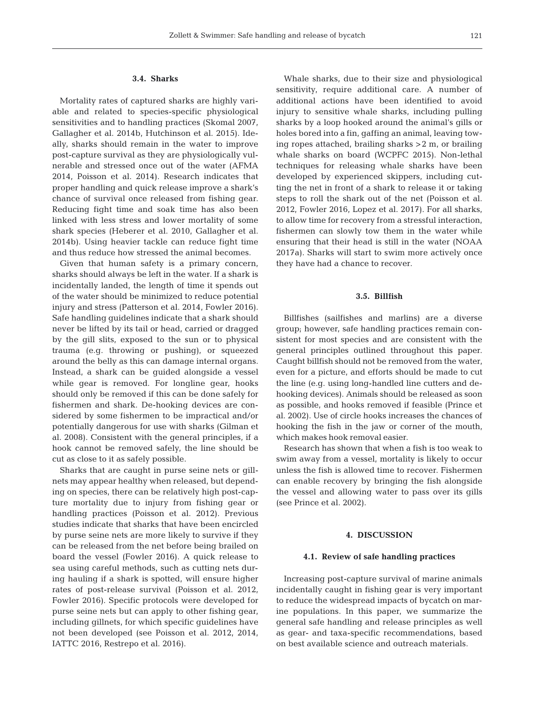# **3.4. Sharks**

Mortality rates of captured sharks are highly variable and related to species-specific physiological sensitivities and to handling practices (Skomal 2007, Gallagher et al. 2014b, Hutchinson et al. 2015). Ideally, sharks should remain in the water to improve post-capture survival as they are physiologically vulnerable and stressed once out of the water (AFMA 2014, Poisson et al. 2014). Research indicates that proper handling and quick release improve a shark's chance of survival once released from fishing gear. Reducing fight time and soak time has also been linked with less stress and lower mortality of some shark species (Heberer et al. 2010, Gallagher et al. 2014b). Using heavier tackle can reduce fight time and thus reduce how stressed the animal becomes.

Given that human safety is a primary concern, sharks should always be left in the water. If a shark is incidentally landed, the length of time it spends out of the water should be minimized to reduce potential injury and stress (Patterson et al. 2014, Fowler 2016). Safe handling guidelines indicate that a shark should never be lifted by its tail or head, carried or dragged by the gill slits, exposed to the sun or to physical trauma (e.g. throwing or pushing), or squeezed around the belly as this can damage internal organs. Instead, a shark can be guided alongside a vessel while gear is removed. For longline gear, hooks should only be removed if this can be done safely for fishermen and shark. De-hooking devices are considered by some fishermen to be impractical and/or potentially dangerous for use with sharks (Gilman et al. 2008). Consistent with the general principles, if a hook cannot be removed safely, the line should be cut as close to it as safely possible.

Sharks that are caught in purse seine nets or gillnets may appear healthy when released, but depending on species, there can be relatively high post-capture mortality due to injury from fishing gear or handling practices (Poisson et al. 2012). Previous studies indicate that sharks that have been encircled by purse seine nets are more likely to survive if they can be released from the net before being brailed on board the vessel (Fowler 2016). A quick release to sea using careful methods, such as cutting nets during hauling if a shark is spotted, will ensure higher rates of post-release survival (Poisson et al. 2012, Fowler 2016). Specific protocols were developed for purse seine nets but can apply to other fishing gear, including gillnets, for which specific guidelines have not been developed (see Poisson et al. 2012, 2014, IATTC 2016, Restrepo et al. 2016).

Whale sharks, due to their size and physiological sensitivity, require additional care. A number of additional actions have been identified to avoid injury to sensitive whale sharks, including pulling sharks by a loop hooked around the animal's gills or holes bored into a fin, gaffing an animal, leaving towing ropes attached, brailing sharks >2 m, or brailing whale sharks on board (WCPFC 2015). Non-lethal techniques for releasing whale sharks have been developed by experienced skippers, including cutting the net in front of a shark to release it or taking steps to roll the shark out of the net (Poisson et al. 2012, Fowler 2016, Lopez et al. 2017). For all sharks, to allow time for recovery from a stressful interaction, fishermen can slowly tow them in the water while ensuring that their head is still in the water (NOAA 2017a). Sharks will start to swim more actively once they have had a chance to recover.

## **3.5. Billfish**

Billfishes (sailfishes and marlins) are a diverse group; however, safe handling practices remain consistent for most species and are consistent with the general principles outlined throughout this paper. Caught billfish should not be removed from the water, even for a picture, and efforts should be made to cut the line (e.g. using long-handled line cutters and dehooking devices). Animals should be released as soon as possible, and hooks removed if feasible (Prince et al. 2002). Use of circle hooks increases the chances of hooking the fish in the jaw or corner of the mouth, which makes hook removal easier.

Research has shown that when a fish is too weak to swim away from a vessel, mortality is likely to occur unless the fish is allowed time to recover. Fishermen can enable recovery by bringing the fish alongside the vessel and allowing water to pass over its gills (see Prince et al. 2002).

## **4. DISCUSSION**

## **4.1. Review of safe handling practices**

Increasing post-capture survival of marine animals incidentally caught in fishing gear is very important to reduce the widespread impacts of bycatch on marine populations. In this paper, we summarize the general safe handling and release principles as well as gear- and taxa-specific recommendations, based on best available science and outreach materials.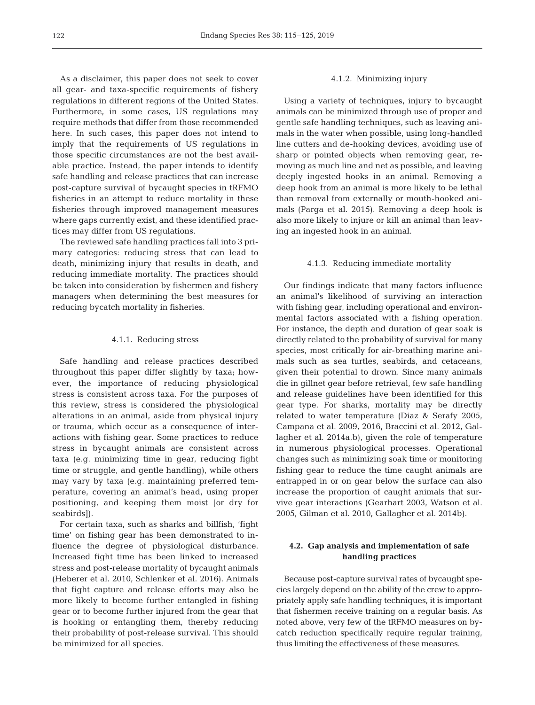As a disclaimer, this paper does not seek to cover all gear- and taxa-specific requirements of fishery regulations in different regions of the United States. Furthermore, in some cases, US regulations may require methods that differ from those recommended here. In such cases, this paper does not intend to imply that the requirements of US regulations in those specific circumstances are not the best available practice. Instead, the paper intends to identify safe handling and release practices that can increase post-capture survival of bycaught species in tRFMO fisheries in an attempt to reduce mortality in these fisheries through improved management measures where gaps currently exist, and these identified practices may differ from US regulations.

The reviewed safe handling practices fall into 3 primary categories: reducing stress that can lead to death, minimizing injury that results in death, and reducing immediate mortality. The practices should be taken into consideration by fishermen and fishery managers when determining the best measures for reducing bycatch mortality in fisheries.

#### 4.1.1. Reducing stress

Safe handling and release practices described throughout this paper differ slightly by taxa; however, the importance of reducing physiological stress is consistent across taxa. For the purposes of this review, stress is considered the physiological alterations in an animal, aside from physical injury or trauma, which occur as a consequence of interactions with fishing gear. Some practices to reduce stress in bycaught animals are consistent across taxa (e.g. minimizing time in gear, reducing fight time or struggle, and gentle handling), while others may vary by taxa (e.g. maintaining preferred temperature, covering an animal's head, using proper positioning, and keeping them moist [or dry for seabirds]).

For certain taxa, such as sharks and billfish, 'fight time' on fishing gear has been demonstrated to influence the degree of physiological disturbance. Increased fight time has been linked to increased stress and post-release mortality of bycaught animals (Heberer et al. 2010, Schlenker et al. 2016). Animals that fight capture and release efforts may also be more likely to become further entangled in fishing gear or to become further injured from the gear that is hooking or entangling them, thereby reducing their probability of post-release survival. This should be minimized for all species.

## 4.1.2. Minimizing injury

Using a variety of techniques, injury to bycaught animals can be minimized through use of proper and gentle safe handling techniques, such as leaving animals in the water when possible, using long-handled line cutters and de-hooking devices, avoiding use of sharp or pointed objects when removing gear, removing as much line and net as possible, and leaving deeply ingested hooks in an animal. Removing a deep hook from an animal is more likely to be lethal than removal from externally or mouth-hooked animals (Parga et al. 2015). Removing a deep hook is also more likely to injure or kill an animal than leaving an ingested hook in an animal.

#### 4.1.3. Reducing immediate mortality

Our findings indicate that many factors influence an animal's likelihood of surviving an interaction with fishing gear, including operational and environmental factors associated with a fishing operation. For instance, the depth and duration of gear soak is directly related to the probability of survival for many species, most critically for air-breathing marine animals such as sea turtles, seabirds, and cetaceans, given their potential to drown. Since many animals die in gillnet gear before retrieval, few safe handling and release guidelines have been identified for this gear type. For sharks, mortality may be directly related to water temperature (Diaz & Serafy 2005, Campana et al. 2009, 2016, Braccini et al. 2012, Gallagher et al. 2014a,b), given the role of temperature in numerous physiological processes. Operational changes such as minimizing soak time or monitoring fishing gear to reduce the time caught animals are entrapped in or on gear below the surface can also increase the proportion of caught animals that survive gear interactions (Gearhart 2003, Watson et al. 2005, Gilman et al. 2010, Gallagher et al. 2014b).

# **4.2. Gap analysis and implementation of safe handling practices**

Because post-capture survival rates of bycaught species largely depend on the ability of the crew to appropriately apply safe handling techniques, it is important that fishermen receive training on a regular basis. As noted above, very few of the tRFMO measures on bycatch reduction specifically require regular training, thus limiting the effectiveness of these measures.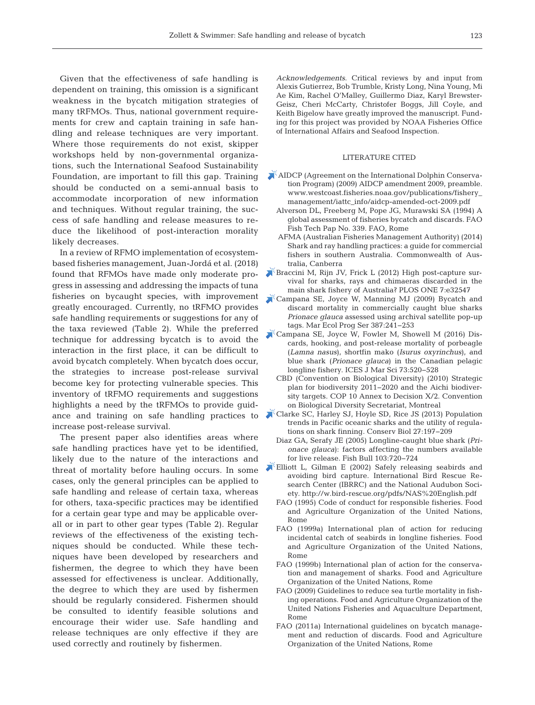Given that the effectiveness of safe handling is dependent on training, this omission is a significant weakness in the bycatch mitigation strategies of many tRFMOs. Thus, national government requirements for crew and captain training in safe handling and release techniques are very important. Where those requirements do not exist, skipper workshops held by non-governmental organizations, such the International Seafood Sustainability Foundation, are important to fill this gap. Training should be conducted on a semi-annual basis to accommodate incorporation of new information and techniques. Without regular training, the success of safe handling and release measures to re duce the likelihood of post-interaction morality likely decreases.

In a review of RFMO implementation of ecosystembased fisheries management, Juan-Jordá et al. (2018) found that RFMOs have made only moderate progress in assessing and addressing the impacts of tuna fisheries on bycaught species, with improvement greatly encouraged. Currently, no tRFMO provides safe handling requirements or suggestions for any of the taxa reviewed (Table 2). While the preferred technique for addressing bycatch is to avoid the interaction in the first place, it can be difficult to avoid bycatch completely. When bycatch does occur, the strategies to increase post-release survival become key for protecting vulnerable species. This inventory of tRFMO requirements and suggestions highlights a need by the tRFMOs to provide guidance and training on safe handling practices to increase post-release survival.

The present paper also identifies areas where safe handling practices have yet to be identified, likely due to the nature of the interactions and threat of mortality before hauling occurs. In some cases, only the general principles can be applied to safe handling and release of certain taxa, whereas for others, taxa-specific practices may be identified for a certain gear type and may be applicable overall or in part to other gear types (Table 2). Regular reviews of the effectiveness of the existing techniques should be conducted. While these techniques have been developed by researchers and fishermen, the degree to which they have been assessed for effectiveness is unclear. Additionally, the degree to which they are used by fishermen should be regularly considered. Fishermen should be consulted to identify feasible solutions and encourage their wider use. Safe handling and release techniques are only effective if they are used correctly and routinely by fishermen.

*Acknowledgements*. Critical reviews by and input from Alexis Gutierrez, Bob Trumble, Kristy Long, Nina Young, Mi Ae Kim, Rachel O'Malley, Guillermo Diaz, Karyl Brewster-Geisz, Cheri McCarty, Christofer Boggs, Jill Coyle, and Keith Bigelow have greatly improved the manuscript. Funding for this project was provided by NOAA Fisheries Office of International Affairs and Seafood Inspection.

## LITERATURE CITED

- [AIDCP \(Agreement on the International Dolphin Conserva](www.westcoast.fisheries.noaa.gov/publications/fishery_management/iattc_info/aidcp-amended-oct-2009.pdf)tion Program) (2009) AIDCP amendment 2009, preamble. www.westcoast.fisheries.noaa.gov/publications/fishery\_ management/iattc\_info/aidcp-amended-oct-2009.pdf
	- Alverson DL, Freeberg M, Pope JG, Murawski SA (1994) A global assessment of fisheries bycatch and discards. FAO Fish Tech Pap No. 339. FAO, Rome
	- AFMA (Australian Fisheries Management Authority) (2014) Shark and ray handling practices: a guide for commercial fishers in southern Australia. Commonwealth of Australia, Canberra
- [Braccini M, Rijn JV, Frick L \(2012\) High post-capture sur](https://doi.org/10.1371/journal.pone.0032547)vival for sharks, rays and chimaeras discarded in the main shark fishery of Australia? PLOS ONE 7:e32547
- [Campana SE, Joyce W, Manning MJ \(2009\) Bycatch and](https://doi.org/10.3354/meps08109) discard mortality in commercially caught blue sharks *Prionace glauca* assessed using archival satellite pop-up tags. Mar Ecol Prog Ser 387:241-253
- [Campana SE, Joyce W, Fowler M, Showell M \(2016\) Dis](https://doi.org/10.1093/icesjms/fsv234)cards, hooking, and post-release mortality of porbeagle (*Lamna nasus*), shortfin mako (*Isurus oxyrinchus*), and blue shark (*Prionace glauca*) in the Canadian pelagic longline fishery. ICES J Mar Sci 73:520-528
- CBD (Convention on Biological Diversity) (2010) Strategic plan for biodiversity 2011−2020 and the Aichi biodiversity targets. COP 10 Annex to Decision X/2. Convention on Biological Diversity Secretariat, Montreal
- [Clarke SC, Harley SJ, Hoyle SD, Rice JS \(2013\) Population](https://doi.org/10.1111/j.1523-1739.2012.01943.x) trends in Pacific oceanic sharks and the utility of regulations on shark finning. Conserv Biol 27: 197−209
	- Diaz GA, Serafy JE (2005) Longline-caught blue shark (*Pri*onace glauca): factors affecting the numbers available for live release. Fish Bull 103: 720−724
- [Elliott L, Gilman E \(2002\) Safely releasing seabirds and](http://w.bird-rescue.org/pdfs/NAS%20English.pdf) avoiding bird capture. International Bird Rescue Re search Center (IBRRC) and the National Audubon Society. http://w.bird-rescue.org/pdfs/NAS%20English. pdf
	- FAO (1995) Code of conduct for responsible fisheries. Food and Agriculture Organization of the United Nations, Rome
	- FAO (1999a) International plan of action for reducing incidental catch of seabirds in longline fisheries. Food and Agriculture Organization of the United Nations, Rome
	- FAO (1999b) International plan of action for the conservation and management of sharks. Food and Agriculture Organization of the United Nations, Rome
	- FAO (2009) Guidelines to reduce sea turtle mortality in fishing operations. Food and Agriculture Organization of the United Nations Fisheries and Aquaculture Department, Rome
	- FAO (2011a) International guidelines on bycatch management and reduction of discards. Food and Agriculture Organization of the United Nations, Rome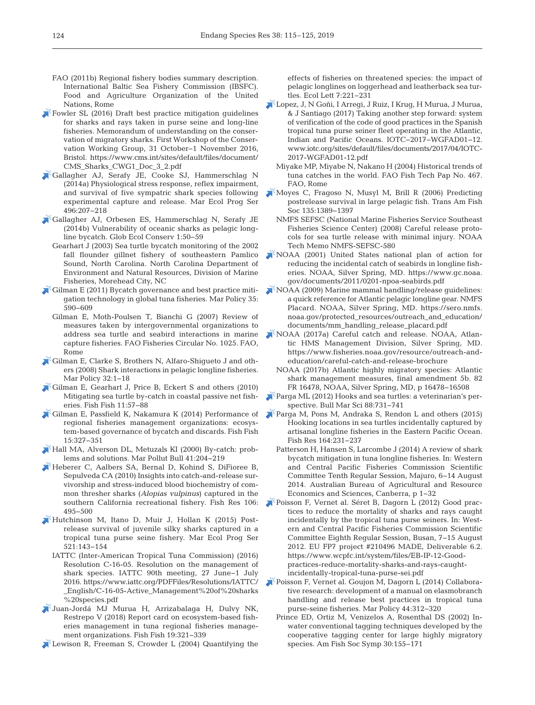- FAO (2011b) Regional fishery bodies summary description. International Baltic Sea Fishery Commission (IBSFC). Food and Agriculture Organization of the United Nations, Rome
- [Fowler SL \(2016\) Draft best practice mitigation guidelines](https://www.cms.int/sites/default/files/document/CMS_Sharks_CWG1_Doc_3_2.pdf) for sharks and rays taken in purse seine and long-line fisheries. Memorandum of understanding on the conservation of migratory sharks. First Workshop of the Conservation Working Group, 31 October−1 November 2016, Bristol. https://www.cms.int/sites/default/files/document/ CMS\_Sharks\_CWG1\_Doc\_3\_2.pdf
- [Gallagher AJ, Serafy JE, Cooke SJ, Hammerschlag N](https://doi.org/10.3354/meps10490) (2014a) Physiological stress response, reflex impairment, and survival of five sympatric shark species following experimental capture and release. Mar Ecol Prog Ser 496: 207−218
- [Gallagher AJ, Orbesen ES, Hammerschlag N, Serafy JE](https://doi.org/10.1016/j.gecco.2014.06.003) (2014b) Vulnerability of oceanic sharks as pelagic longline bycatch. Glob Ecol Conserv 1:50-59
	- Gearhart J (2003) Sea turtle bycatch monitoring of the 2002 fall flounder gillnet fishery of southeastern Pamlico Sound, North Carolina. North Carolina Department of Environment and Natural Resources, Division of Marine Fisheries, Morehead City, NC
- [Gilman E \(2011\) Bycatch governance and best practice miti](https://doi.org/10.1016/j.marpol.2011.01.021)gation technology in global tuna fisheries. Mar Policy 35: 590−609
	- Gilman E, Moth-Poulsen T, Bianchi G (2007) Review of measures taken by intergovernmental organizations to address sea turtle and seabird interactions in marine capture fisheries. FAO Fisheries Circular No. 1025. FAO, Rome
- [Gilman E, Clarke S, Brothers N, Alfaro-Shigueto J and oth](https://doi.org/10.1016/j.marpol.2007.05.001)ers (2008) Shark interactions in pelagic longline fisheries. Mar Policy 32:1–18
- [Gilman E, Gearhart J, Price B, Eckert S and others \(2010\)](https://doi.org/10.1111/j.1467-2979.2009.00342.x) Mitigating sea turtle by-catch in coastal passive net fisheries. Fish Fish 11:57-88
- [Gilman E, Passfield K, Nakamura K \(2014\) Performance of](https://doi.org/10.1111/faf.12021) regional fisheries management organizations: ecosystem-based governance of bycatch and discards. Fish Fish 15: 327−351
- [Hall MA, Alverson DL, Metuzals KI \(2000\) By-catch:prob](https://doi.org/10.1016/S0025-326X(00)00111-9)lems and solutions. Mar Pollut Bull 41: 204−219
- [Heberer C, Aalbers SA, Bernal D, Kohind S, DiFioree B,](https://doi.org/10.1016/j.fishres.2010.09.024) Sepulveda CA (2010) Insights into catch-and-release survivorship and stress-induced blood biochemistry of common thresher sharks (*Alopias vulpinus*) captured in the southern California recreational fishery. Fish Res 106: 495−500
- [Hutchinson M, Itano D, Muir J, Hollan K \(2015\) Post](https://doi.org/10.3354/meps11073)release survival of juvenile silky sharks captured in a tropical tuna purse seine fishery. Mar Ecol Prog Ser 521: 143−154
	- IATTC (Inter-American Tropical Tuna Commission) (2016) Resolution C-16-05. Resolution on the management of shark species. IATTC 90th meeting, 27 June−1 July 2016. https:// www. iattc. org/ PDFFiles/ Resolutions/ IATTC/ \_ English/ C-16-05-Active \_ Management % 20 of % 20 sharks %20 species.pdf
- [Juan-Jordá MJ Murua H, Arrizabalaga H, Dulvy NK,](https://doi.org/10.1111/faf.12256) Restrepo V (2018) Report card on ecosystem-based fisheries management in tuna regional fisheries management organizations. Fish Fish 19:321-339
- [Lewison R, Freeman S, Crowder L \(2004\) Quantifying the](https://doi.org/10.1111/j.1461-0248.2004.00573.x)

effects of fisheries on threatened species: the impact of pelagic longlines on loggerhead and leatherback sea turtles. Ecol Lett 7: 221−231

- [Lopez, J, N Goñi, I Arregi, J Ruiz, I Krug, H Murua, J Murua,](http://www.iotc.org/sites/default/files/documents/2017/04/IOTC-2017-WGFAD01-12.pdf) & J Santiago (2017) Taking another step forward: system of verification of the code of good practices in the Spanish tropical tuna purse seiner fleet operating in the Atlantic, Indian and Pacific Oceans. IOTC-2017-WGFAD01-12. www.iotc.org/sites/default/files/documents/2017/04/IOTC-2017-WGFAD01-12. pdf
	- Miyake MP, Miyabe N, Nakano H (2004) Historical trends of tuna catches in the world. FAO Fish Tech Pap No. 467. FAO, Rome
- [Moyes C, Fragoso N, Musyl M, Brill R \(2006\) Predicting](https://doi.org/10.1577/T05-224.1) postrelease survival in large pelagic fish. Trans Am Fish Soc 135: 1389−1397
	- NMFS SEFSC (National Marine Fisheries Service Southeast Fisheries Science Center) (2008) Careful release protocols for sea turtle release with minimal injury. NOAA Tech Memo NMFS-SEFSC-580
- [NOAA \(2001\) United States national plan of action for](https://www.gc.noaa.gov/documents/2011/0201-npoa-seabirds.pdf) reducing the incidental catch of seabirds in longline fisheries. NOAA, Silver Spring, MD. https://www.gc.noaa. gov/documents/2011/0201-npoa-seabirds.pdf
- [NOAA \(2009\) Marine mammal handling/release guidelines:](https://sero.nmfs.noaa.gov/protected_resources/outreach_and_education/documents/mm_handling_release_placard.pdf)  a quick reference for Atlantic pelagic longline gear. NMFS Placard. NOAA, Silver Spring, MD. https://sero.nmfs. noaa. gov/ protected \_ resources/ outreach \_ and \_ education/ documents/mm\_handling\_release\_placard.pdf
- [NOAA \(2017a\) Careful catch and release. NOAA, Atlan](https://www.fisheries.noaa.gov/resource/outreach-and-education/careful-catch-and-release-brochure)  tic HMS Management Division, Silver Spring, MD. https://www.fisheries.noaa.gov/resource/outreach-andeducation/careful-catch-and-release-brochure
	- NOAA (2017b) Atlantic highly migratory species: Atlantic shark management measures, final amendment 5b. 82 FR 16478, NOAA, Silver Spring, MD, p 16478−16508
- $\epsilon$ Parga ML (2012) Hooks and sea turtles: a veterinarian's perspective. Bull Mar Sci 88: 731−741
- [Parga M, Pons M, Andraka S, Rendon L and others \(2015\)](https://doi.org/10.1016/j.fishres.2014.11.012) Hooking locations in sea turtles incidentally captured by artisanal longline fisheries in the Eastern Pacific Ocean. Fish Res 164: 231−237
	- Patterson H, Hansen S, Larcombe J (2014) A review of shark bycatch mitigation in tuna longline fisheries. In: Western and Central Pacific Fisheries Commission Scientific Committee Tenth Regular Session, Majuro, 6−14 August 2014. Australian Bureau of Agricultural and Resource Economics and Sciences, Canberra, p 1−32
- [Poisson F, Vernet al. Séret B, Dagorn L \(2012\) Good prac](https://www.wcpfc.int/system/files/EB-IP-12-Good-practices-reduce-mortality-sharks-and-rays-caught-incidentally-tropical-tuna-purse-sei.pdf)tices to reduce the mortality of sharks and rays caught incidentally by the tropical tuna purse seiners. In: Western and Central Pacific Fisheries Commission Scientific Committee Eighth Regular Session, Busan, 7−15 August 2012. EU FP7 project #210496 MADE, Deliverable 6.2. https: //www.wcpfc.int/system/files/EB-IP-12-Goodpractices-reduce-mortality-sharks-and-rays-caughtincidentally-tropical-tuna-purse-sei.pdf
- [Poisson F, Vernet al. Goujon M, Dagorn L \(2014\) Collabora](https://doi.org/10.1016/j.marpol.2013.09.025)tive research: development of a manual on elasmobranch handling and release best practices in tropical tuna purse-seine fisheries. Mar Policy 44: 312−320
	- Prince ED, Ortiz M, Venizelos A, Rosenthal DS (2002) Inwater conventional tagging techniques developed by the cooperative tagging center for large highly migratory species. Am Fish Soc Symp 30: 155−171